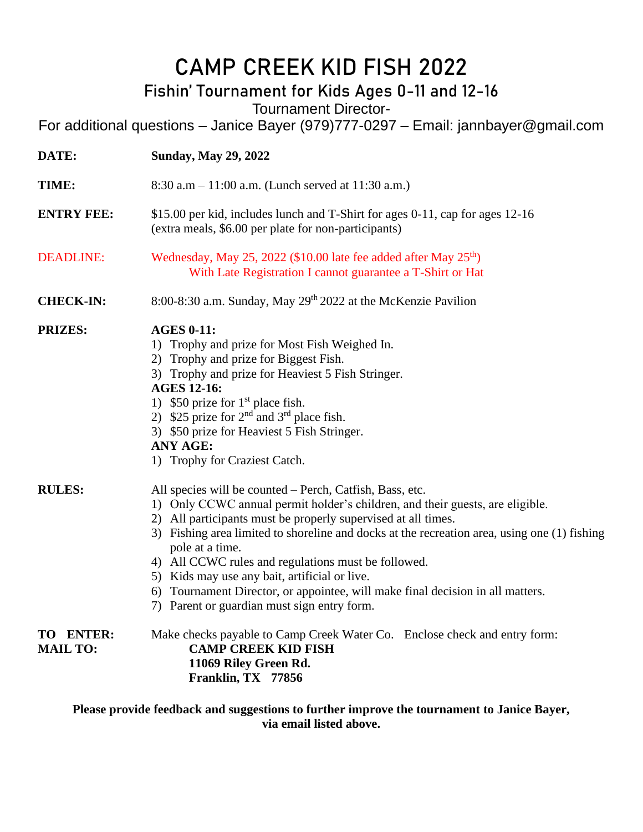## **CAMP CREEK KID FISH 2022**

## **Fishin' Tournament for Kids Ages 0-11 and 12-16**

Tournament Director-

For additional questions – Janice Bayer (979)777-0297 – Email: jannbayer@gmail.com

| DATE:                        | <b>Sunday, May 29, 2022</b>                                                                                                                                                                                                                                                                                                                                                                                                                                                                                                                                            |  |  |
|------------------------------|------------------------------------------------------------------------------------------------------------------------------------------------------------------------------------------------------------------------------------------------------------------------------------------------------------------------------------------------------------------------------------------------------------------------------------------------------------------------------------------------------------------------------------------------------------------------|--|--|
| TIME:                        | 8:30 a.m $- 11:00$ a.m. (Lunch served at 11:30 a.m.)                                                                                                                                                                                                                                                                                                                                                                                                                                                                                                                   |  |  |
| <b>ENTRY FEE:</b>            | \$15.00 per kid, includes lunch and T-Shirt for ages 0-11, cap for ages 12-16<br>(extra meals, \$6.00 per plate for non-participants)                                                                                                                                                                                                                                                                                                                                                                                                                                  |  |  |
| <b>DEADLINE:</b>             | Wednesday, May 25, 2022 (\$10.00 late fee added after May 25 <sup>th</sup> )<br>With Late Registration I cannot guarantee a T-Shirt or Hat                                                                                                                                                                                                                                                                                                                                                                                                                             |  |  |
| <b>CHECK-IN:</b>             | 8:00-8:30 a.m. Sunday, May 29th 2022 at the McKenzie Pavilion                                                                                                                                                                                                                                                                                                                                                                                                                                                                                                          |  |  |
| <b>PRIZES:</b>               | <b>AGES 0-11:</b><br>1) Trophy and prize for Most Fish Weighed In.<br>2) Trophy and prize for Biggest Fish.<br>3) Trophy and prize for Heaviest 5 Fish Stringer.<br><b>AGES 12-16:</b><br>1) \$50 prize for $1st$ place fish.<br>2) \$25 prize for $2nd$ and $3rd$ place fish.<br>3) \$50 prize for Heaviest 5 Fish Stringer.<br><b>ANY AGE:</b><br>1) Trophy for Craziest Catch.                                                                                                                                                                                      |  |  |
| <b>RULES:</b>                | All species will be counted – Perch, Catfish, Bass, etc.<br>1) Only CCWC annual permit holder's children, and their guests, are eligible.<br>2) All participants must be properly supervised at all times.<br>3) Fishing area limited to shoreline and docks at the recreation area, using one (1) fishing<br>pole at a time.<br>4) All CCWC rules and regulations must be followed.<br>5) Kids may use any bait, artificial or live.<br>6) Tournament Director, or appointee, will make final decision in all matters.<br>7) Parent or guardian must sign entry form. |  |  |
| TO ENTER:<br><b>MAIL TO:</b> | Make checks payable to Camp Creek Water Co. Enclose check and entry form:<br><b>CAMP CREEK KID FISH</b><br>11069 Riley Green Rd.<br>Franklin, TX 77856                                                                                                                                                                                                                                                                                                                                                                                                                 |  |  |

**Please provide feedback and suggestions to further improve the tournament to Janice Bayer, via email listed above.**